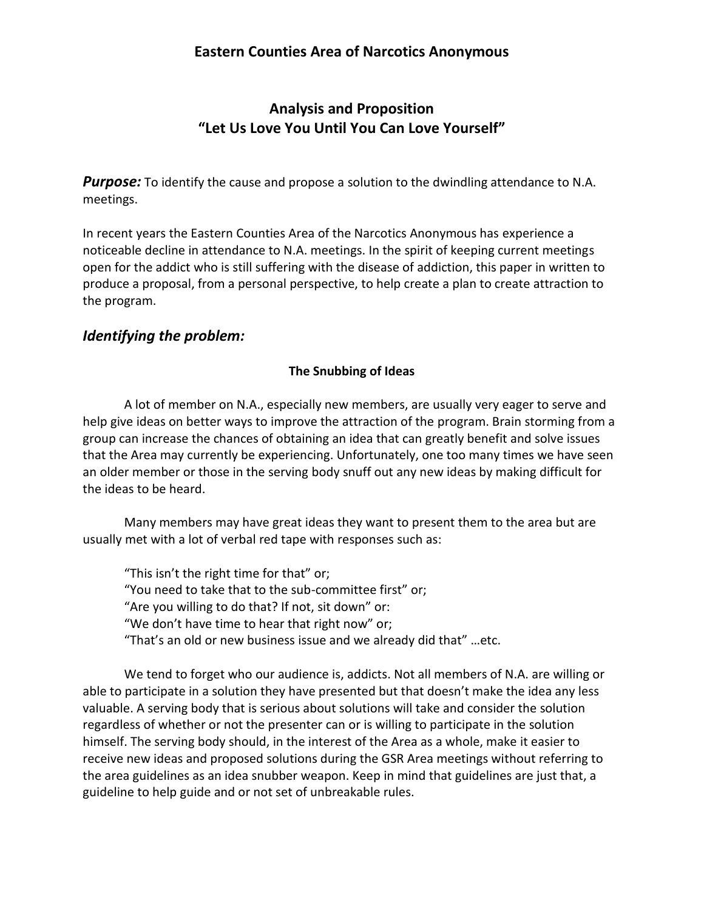## **Analysis and Proposition "Let Us Love You Until You Can Love Yourself"**

**Purpose:** To identify the cause and propose a solution to the dwindling attendance to N.A. meetings.

In recent years the Eastern Counties Area of the Narcotics Anonymous has experience a noticeable decline in attendance to N.A. meetings. In the spirit of keeping current meetings open for the addict who is still suffering with the disease of addiction, this paper in written to produce a proposal, from a personal perspective, to help create a plan to create attraction to the program.

### *Identifying the problem:*

#### **The Snubbing of Ideas**

A lot of member on N.A., especially new members, are usually very eager to serve and help give ideas on better ways to improve the attraction of the program. Brain storming from a group can increase the chances of obtaining an idea that can greatly benefit and solve issues that the Area may currently be experiencing. Unfortunately, one too many times we have seen an older member or those in the serving body snuff out any new ideas by making difficult for the ideas to be heard.

Many members may have great ideas they want to present them to the area but are usually met with a lot of verbal red tape with responses such as:

"This isn't the right time for that" or; "You need to take that to the sub-committee first" or; "Are you willing to do that? If not, sit down" or: "We don't have time to hear that right now" or; "That's an old or new business issue and we already did that" ...etc.

We tend to forget who our audience is, addicts. Not all members of N.A. are willing or able to participate in a solution they have presented but that doesn't make the idea any less valuable. A serving body that is serious about solutions will take and consider the solution regardless of whether or not the presenter can or is willing to participate in the solution himself. The serving body should, in the interest of the Area as a whole, make it easier to receive new ideas and proposed solutions during the GSR Area meetings without referring to the area guidelines as an idea snubber weapon. Keep in mind that guidelines are just that, a guideline to help guide and or not set of unbreakable rules.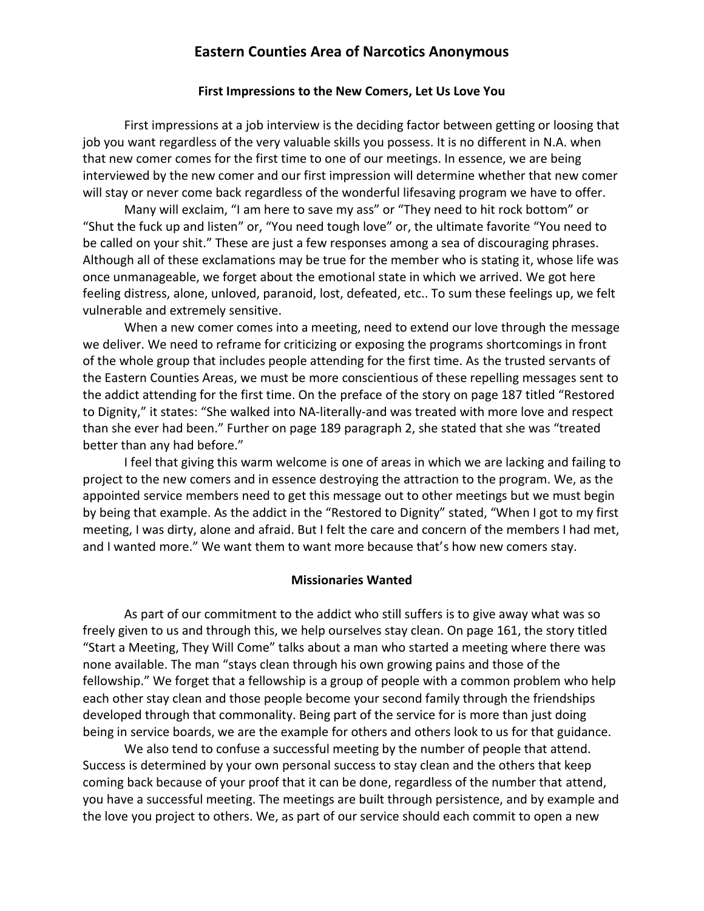#### **Eastern Counties Area of Narcotics Anonymous**

#### **First Impressions to the New Comers, Let Us Love You**

First impressions at a job interview is the deciding factor between getting or loosing that job you want regardless of the very valuable skills you possess. It is no different in N.A. when that new comer comes for the first time to one of our meetings. In essence, we are being interviewed by the new comer and our first impression will determine whether that new comer will stay or never come back regardless of the wonderful lifesaving program we have to offer.

Many will exclaim, "I am here to save my ass" or "They need to hit rock bottom" or "Shut the fuck up and listen" or, "You need tough love" or, the ultimate favorite "You need to be called on your shit." These are just a few responses among a sea of discouraging phrases. Although all of these exclamations may be true for the member who is stating it, whose life was once unmanageable, we forget about the emotional state in which we arrived. We got here feeling distress, alone, unloved, paranoid, lost, defeated, etc.. To sum these feelings up, we felt vulnerable and extremely sensitive.

When a new comer comes into a meeting, need to extend our love through the message we deliver. We need to reframe for criticizing or exposing the programs shortcomings in front of the whole group that includes people attending for the first time. As the trusted servants of the Eastern Counties Areas, we must be more conscientious of these repelling messages sent to the addict attending for the first time. On the preface of the story on page 187 titled "Restored to Dignity," it states: "She walked into NA-literally-and was treated with more love and respect than she ever had been." Further on page 189 paragraph 2, she stated that she was "treated better than any had before."

I feel that giving this warm welcome is one of areas in which we are lacking and failing to project to the new comers and in essence destroying the attraction to the program. We, as the appointed service members need to get this message out to other meetings but we must begin by being that example. As the addict in the "Restored to Dignity" stated, "When I got to my first meeting, I was dirty, alone and afraid. But I felt the care and concern of the members I had met, and I wanted more." We want them to want more because that's how new comers stay.

#### **Missionaries Wanted**

As part of our commitment to the addict who still suffers is to give away what was so freely given to us and through this, we help ourselves stay clean. On page 161, the story titled "Start a Meeting, They Will Come" talks about a man who started a meeting where there was none available. The man "stays clean through his own growing pains and those of the fellowship." We forget that a fellowship is a group of people with a common problem who help each other stay clean and those people become your second family through the friendships developed through that commonality. Being part of the service for is more than just doing being in service boards, we are the example for others and others look to us for that guidance.

We also tend to confuse a successful meeting by the number of people that attend. Success is determined by your own personal success to stay clean and the others that keep coming back because of your proof that it can be done, regardless of the number that attend, you have a successful meeting. The meetings are built through persistence, and by example and the love you project to others. We, as part of our service should each commit to open a new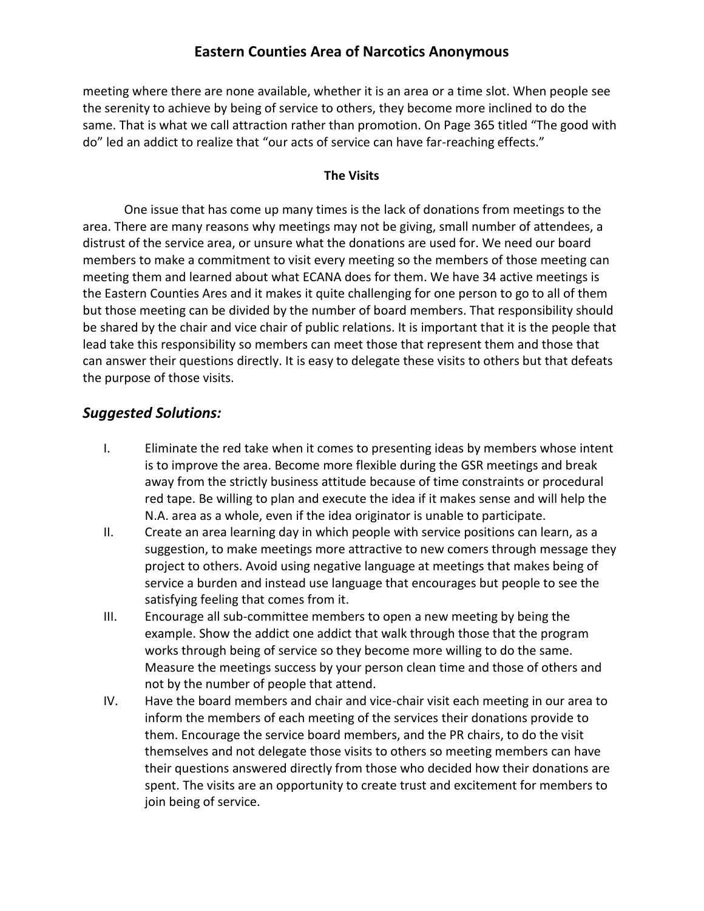#### **Eastern Counties Area of Narcotics Anonymous**

meeting where there are none available, whether it is an area or a time slot. When people see the serenity to achieve by being of service to others, they become more inclined to do the same. That is what we call attraction rather than promotion. On Page 365 titled "The good with do" led an addict to realize that "our acts of service can have far-reaching effects."

#### **The Visits**

One issue that has come up many times is the lack of donations from meetings to the area. There are many reasons why meetings may not be giving, small number of attendees, a distrust of the service area, or unsure what the donations are used for. We need our board members to make a commitment to visit every meeting so the members of those meeting can meeting them and learned about what ECANA does for them. We have 34 active meetings is the Eastern Counties Ares and it makes it quite challenging for one person to go to all of them but those meeting can be divided by the number of board members. That responsibility should be shared by the chair and vice chair of public relations. It is important that it is the people that lead take this responsibility so members can meet those that represent them and those that can answer their questions directly. It is easy to delegate these visits to others but that defeats the purpose of those visits.

#### *Suggested Solutions:*

- I. Eliminate the red take when it comes to presenting ideas by members whose intent is to improve the area. Become more flexible during the GSR meetings and break away from the strictly business attitude because of time constraints or procedural red tape. Be willing to plan and execute the idea if it makes sense and will help the N.A. area as a whole, even if the idea originator is unable to participate.
- II. Create an area learning day in which people with service positions can learn, as a suggestion, to make meetings more attractive to new comers through message they project to others. Avoid using negative language at meetings that makes being of service a burden and instead use language that encourages but people to see the satisfying feeling that comes from it.
- III. Encourage all sub-committee members to open a new meeting by being the example. Show the addict one addict that walk through those that the program works through being of service so they become more willing to do the same. Measure the meetings success by your person clean time and those of others and not by the number of people that attend.
- IV. Have the board members and chair and vice-chair visit each meeting in our area to inform the members of each meeting of the services their donations provide to them. Encourage the service board members, and the PR chairs, to do the visit themselves and not delegate those visits to others so meeting members can have their questions answered directly from those who decided how their donations are spent. The visits are an opportunity to create trust and excitement for members to join being of service.